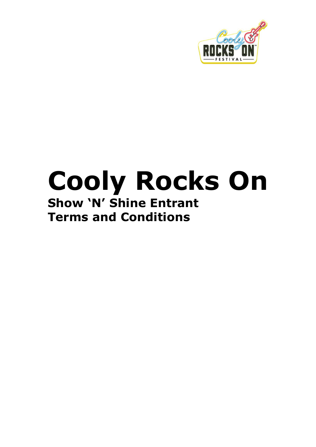

# **Cooly Rocks On Show 'N' Shine Entrant Terms and Conditions**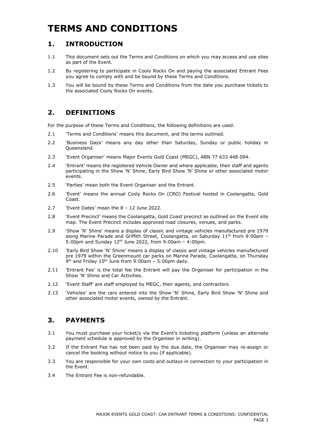# **TERMS AND CONDITIONS**

## **1. INTRODUCTION**

- 1.1 This document sets out the Terms and Conditions on which you may access and use sites as part of the Event.
- 1.2 By registering to participate in Cooly Rocks On and paying the associated Entrant Fees you agree to comply with and be bound by these Terms and Conditions.
- 1.3 You will be bound by these Terms and Conditions from the date you purchase tickets to the associated Cooly Rocks On events.

# **2. DEFINITIONS**

For the purpose of these Terms and Conditions, the following definitions are used.

- 2.1 'Terms and Conditions' means this document, and the terms outlined.
- 2.2 'Business Days' means any day other than Saturday, Sunday or public holiday in Queensland.
- 2.3 'Event Organiser' means Major Events Gold Coast (MEGC), ABN 77 633 448 094.
- 2.4 'Entrant' means the registered Vehicle Owner and where applicable, their staff and agents participating in the Show 'N' Shine, Early Bird Show 'N' Shine or other associated motor events.
- 2.5 'Parties' mean both the Event Organiser and the Entrant.
- 2.6 'Event' means the annual Cooly Rocks On (CRO) Festival hosted in Coolangatta, Gold Coast.
- 2.7 'Event Dates' mean the 8 12 June 2022.
- 2.8 'Event Precinct' means the Coolangatta, Gold Coast precinct as outlined on the Event site map. The Event Precinct includes approved road closures, venues, and parks.
- 2.9 'Show 'N' Shine' means a display of classic and vintage vehicles manufactured pre 1979 along Marine Parade and Griffith Street, Coolangatta, on Saturday 11<sup>th</sup> from 9:00am -5:00pm and Sunday 12th June 2022, from 9:00am – 4:00pm.
- 2.10 'Early Bird Show 'N' Shine' means a display of classic and vintage vehicles manufactured pre 1979 within the Greenmount car parks on Marine Parade, Coolangatta, on Thursday 9<sup>th</sup> and Friday 10<sup>th</sup> June from 9:00am - 5:00pm daily.
- 2.11 'Entrant Fee' is the total fee the Entrant will pay the Organiser for participation in the Show 'N' Shine and Car Activities.
- 2.12 'Event Staff' are staff employed by MEGC, their agents, and contractors.
- 2.13 'Vehicles' are the cars entered into the Show 'N' Shine, Early Bird Show 'N' Shine and other associated motor events, owned by the Entrant.

# **3. PAYMENTS**

- 3.1 You must purchase your ticket/s via the Event's ticketing platform (unless an alternate payment schedule is approved by the Organiser in writing).
- 3.2 If the Entrant Fee has not been paid by the due date, the Organiser may re-assign or cancel the booking without notice to you (if applicable).
- 3.3 You are responsible for your own costs and outlays in connection to your participation in the Event.
- 3.4 The Entrant Fee is non-refundable.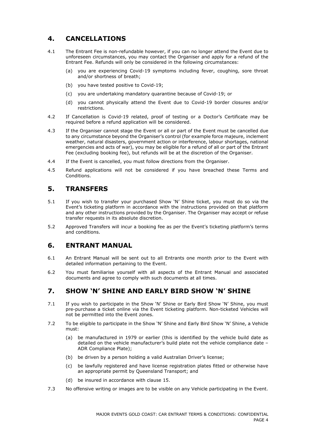# **4. CANCELLATIONS**

- 4.1 The Entrant Fee is non-refundable however, if you can no longer attend the Event due to unforeseen circumstances, you may contact the Organiser and apply for a refund of the Entrant Fee. Refunds will only be considered in the following circumstances:
	- (a) you are experiencing Covid-19 symptoms including fever, coughing, sore throat and/or shortness of breath;
	- (b) you have tested positive to Covid-19;
	- (c) you are undertaking mandatory quarantine because of Covid-19; or
	- (d) you cannot physically attend the Event due to Covid-19 border closures and/or restrictions.
- 4.2 If Cancellation is Covid-19 related, proof of testing or a Doctor's Certificate may be required before a refund application will be considered.
- 4.3 If the Organiser cannot stage the Event or all or part of the Event must be cancelled due to any circumstance beyond the Organiser's control (for example force majeure, inclement weather, natural disasters, government action or interference, labour shortages, national emergencies and acts of war), you may be eligible for a refund of all or part of the Entrant Fee (excluding booking fee), but refunds will be at the discretion of the Organiser.
- 4.4 If the Event is cancelled, you must follow directions from the Organiser.
- 4.5 Refund applications will not be considered if you have breached these Terms and Conditions.

#### **5. TRANSFERS**

- 5.1 If you wish to transfer your purchased Show 'N' Shine ticket, you must do so via the Event's ticketing platform in accordance with the instructions provided on that platform and any other instructions provided by the Organiser. The Organiser may accept or refuse transfer requests in its absolute discretion.
- 5.2 Approved Transfers will incur a booking fee as per the Event's ticketing platform's terms and conditions.

#### **6. ENTRANT MANUAL**

- 6.1 An Entrant Manual will be sent out to all Entrants one month prior to the Event with detailed information pertaining to the Event.
- 6.2 You must familiarise yourself with all aspects of the Entrant Manual and associated documents and agree to comply with such documents at all times.

#### **7. SHOW 'N' SHINE AND EARLY BIRD SHOW 'N' SHINE**

- 7.1 If you wish to participate in the Show 'N' Shine or Early Bird Show 'N' Shine, you must pre-purchase a ticket online via the Event ticketing platform. Non-ticketed Vehicles will not be permitted into the Event zones.
- 7.2 To be eligible to participate in the Show 'N' Shine and Early Bird Show 'N' Shine, a Vehicle must:
	- (a) be manufactured in 1979 or earlier (this is identified by the vehicle build date as detailed on the vehicle manufacturer's build plate not the vehicle compliance date – ADR Compliance Plate);
	- (b) be driven by a person holding a valid Australian Driver's license;
	- (c) be lawfully registered and have license registration plates fitted or otherwise have an appropriate permit by Queensland Transport; and
	- (d) be insured in accordance with clause [15.](#page-5-0)
- 7.3 No offensive writing or images are to be visible on any Vehicle participating in the Event.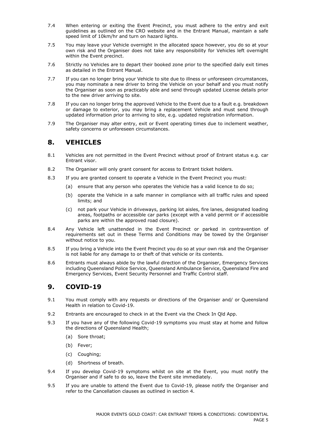- 7.4 When entering or exiting the Event Precinct, you must adhere to the entry and exit guidelines as outlined on the CRO website and in the Entrant Manual, maintain a safe speed limit of 10km/hr and turn on hazard lights.
- 7.5 You may leave your Vehicle overnight in the allocated space however, you do so at your own risk and the Organiser does not take any responsibility for Vehicles left overnight within the Event precinct.
- 7.6 Strictly no Vehicles are to depart their booked zone prior to the specified daily exit times as detailed in the Entrant Manual.
- 7.7 If you can no longer bring your Vehicle to site due to illness or unforeseen circumstances, you may nominate a new driver to bring the Vehicle on your behalf and you must notify the Organiser as soon as practicably able and send through updated License details prior to the new driver arriving to site.
- 7.8 If you can no longer bring the approved Vehicle to the Event due to a fault e.g. breakdown or damage to exterior, you may bring a replacement Vehicle and must send through updated information prior to arriving to site, e.g. updated registration information.
- 7.9 The Organiser may alter entry, exit or Event operating times due to inclement weather, safety concerns or unforeseen circumstances.

#### **8. VEHICLES**

- 8.1 Vehicles are not permitted in the Event Precinct without proof of Entrant status e.g. car Entrant visor.
- 8.2 The Organiser will only grant consent for access to Entrant ticket holders.
- 8.3 If you are granted consent to operate a Vehicle in the Event Precinct you must:
	- (a) ensure that any person who operates the Vehicle has a valid licence to do so;
	- (b) operate the Vehicle in a safe manner in compliance with all traffic rules and speed limits; and
	- (c) not park your Vehicle in driveways, parking lot aisles, fire lanes, designated loading areas, footpaths or accessible car parks (except with a valid permit or if accessible parks are within the approved road closure).
- 8.4 Any Vehicle left unattended in the Event Precinct or parked in contravention of requirements set out in these Terms and Conditions may be towed by the Organiser without notice to you.
- 8.5 If you bring a Vehicle into the Event Precinct you do so at your own risk and the Organiser is not liable for any damage to or theft of that vehicle or its contents.
- 8.6 Entrants must always abide by the lawful direction of the Organiser, Emergency Services including Queensland Police Service, Queensland Ambulance Service, Queensland Fire and Emergency Services, Event Security Personnel and Traffic Control staff.

#### **9. COVID-19**

- 9.1 You must comply with any requests or directions of the Organiser and/ or Queensland Health in relation to Covid-19.
- 9.2 Entrants are encouraged to check in at the Event via the Check In Qld App.
- 9.3 If you have any of the following Covid-19 symptoms you must stay at home and follow the directions of Queensland Health;
	- (a) Sore throat;
	- (b) Fever;
	- (c) Coughing;
	- (d) Shortness of breath.
- 9.4 If you develop Covid-19 symptoms whilst on site at the Event, you must notify the Organiser and if safe to do so, leave the Event site immediately.
- 9.5 If you are unable to attend the Event due to Covid-19, please notify the Organiser and refer to the Cancellation clauses as outlined in section 4.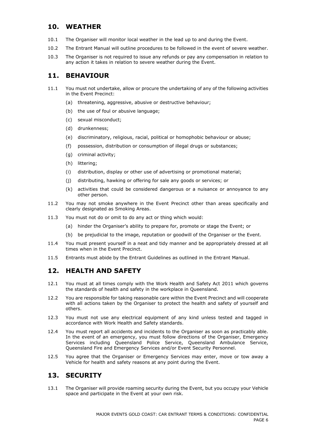# **10. WEATHER**

- 10.1 The Organiser will monitor local weather in the lead up to and during the Event.
- 10.2 The Entrant Manual will outline procedures to be followed in the event of severe weather.
- 10.3 The Organiser is not required to issue any refunds or pay any compensation in relation to any action it takes in relation to severe weather during the Event.

# **11. BEHAVIOUR**

- 11.1 You must not undertake, allow or procure the undertaking of any of the following activities in the Event Precinct:
	- (a) threatening, aggressive, abusive or destructive behaviour;
	- (b) the use of foul or abusive language;
	- (c) sexual misconduct;
	- (d) drunkenness;
	- (e) discriminatory, religious, racial, political or homophobic behaviour or abuse;
	- (f) possession, distribution or consumption of illegal drugs or substances;
	- (g) criminal activity;
	- (h) littering;
	- (i) distribution, display or other use of advertising or promotional material;
	- (j) distributing, hawking or offering for sale any goods or services; or
	- (k) activities that could be considered dangerous or a nuisance or annoyance to any other person.
- 11.2 You may not smoke anywhere in the Event Precinct other than areas specifically and clearly designated as Smoking Areas.
- 11.3 You must not do or omit to do any act or thing which would:
	- (a) hinder the Organiser's ability to prepare for, promote or stage the Event; or
	- (b) be prejudicial to the image, reputation or goodwill of the Organiser or the Event.
- 11.4 You must present yourself in a neat and tidy manner and be appropriately dressed at all times when in the Event Precinct.
- 11.5 Entrants must abide by the Entrant Guidelines as outlined in the Entrant Manual.

# **12. HEALTH AND SAFETY**

- 12.1 You must at all times comply with the Work Health and Safety Act 2011 which governs the standards of health and safety in the workplace in Queensland.
- 12.2 You are responsible for taking reasonable care within the Event Precinct and will cooperate with all actions taken by the Organiser to protect the health and safety of yourself and others.
- 12.3 You must not use any electrical equipment of any kind unless tested and tagged in accordance with Work Health and Safety standards.
- 12.4 You must report all accidents and incidents to the Organiser as soon as practicably able. In the event of an emergency, you must follow directions of the Organiser, Emergency Services including Queensland Police Service, Queensland Ambulance Service, Queensland Fire and Emergency Services and/or Event Security Personnel.
- 12.5 You agree that the Organiser or Emergency Services may enter, move or tow away a Vehicle for health and safety reasons at any point during the Event.

# **13. SECURITY**

13.1 The Organiser will provide roaming security during the Event, but you occupy your Vehicle space and participate in the Event at your own risk.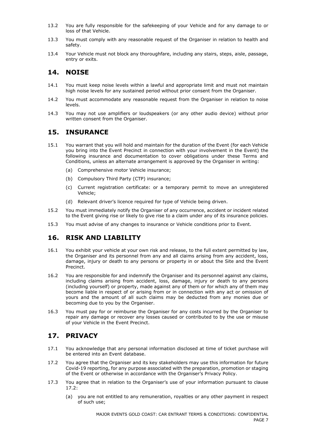- 13.2 You are fully responsible for the safekeeping of your Vehicle and for any damage to or loss of that Vehicle.
- 13.3 You must comply with any reasonable request of the Organiser in relation to health and safety.
- 13.4 Your Vehicle must not block any thoroughfare, including any stairs, steps, aisle, passage, entry or exits.

## **14. NOISE**

- 14.1 You must keep noise levels within a lawful and appropriate limit and must not maintain high noise levels for any sustained period without prior consent from the Organiser.
- 14.2 You must accommodate any reasonable request from the Organiser in relation to noise levels.
- 14.3 You may not use amplifiers or loudspeakers (or any other audio device) without prior written consent from the Organiser.

#### <span id="page-5-0"></span>**15. INSURANCE**

- 15.1 You warrant that you will hold and maintain for the duration of the Event (for each Vehicle you bring into the Event Precinct in connection with your involvement in the Event) the following insurance and documentation to cover obligations under these Terms and Conditions, unless an alternate arrangement is approved by the Organiser in writing:
	- (a) Comprehensive motor Vehicle insurance;
	- (b) Compulsory Third Party (CTP) insurance;
	- (c) Current registration certificate: or a temporary permit to move an unregistered Vehicle;
	- (d) Relevant driver's licence required for type of Vehicle being driven.
- 15.2 You must immediately notify the Organiser of any occurrence, accident or incident related to the Event giving rise or likely to give rise to a claim under any of its insurance policies.
- 15.3 You must advise of any changes to insurance or Vehicle conditions prior to Event.

# **16. RISK AND LIABILITY**

- 16.1 You exhibit your vehicle at your own risk and release, to the full extent permitted by law, the Organiser and its personnel from any and all claims arising from any accident, loss, damage, injury or death to any persons or property in or about the Site and the Event Precinct.
- 16.2 You are responsible for and indemnify the Organiser and its personnel against any claims, including claims arising from accident, loss, damage, injury or death to any persons (including yourself) or property, made against any of them or for which any of them may become liable in respect of or arising from or in connection with any act or omission of yours and the amount of all such claims may be deducted from any monies due or becoming due to you by the Organiser.
- 16.3 You must pay for or reimburse the Organiser for any costs incurred by the Organiser to repair any damage or recover any losses caused or contributed to by the use or misuse of your Vehicle in the Event Precinct.

# <span id="page-5-2"></span>**17. PRIVACY**

- 17.1 You acknowledge that any personal information disclosed at time of ticket purchase will be entered into an Event database.
- <span id="page-5-1"></span>17.2 You agree that the Organiser and its key stakeholders may use this information for future Covid-19 reporting, for any purpose associated with the preparation, promotion or staging of the Event or otherwise in accordance with the Organiser's Privacy Policy.
- 17.3 You agree that in relation to the Organiser's use of your information pursuant to clause  $17.2 \cdot$ 
	- (a) you are not entitled to any remuneration, royalties or any other payment in respect of such use;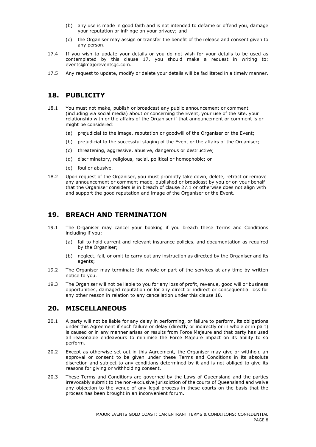- (b) any use is made in good faith and is not intended to defame or offend you, damage your reputation or infringe on your privacy; and
- (c) the Organiser may assign or transfer the benefit of the release and consent given to any person.
- 17.4 If you wish to update your details or you do not wish for your details to be used as contemplated by this clause [17,](#page-5-2) you should make a request in writing to: events@majoreventsgc.com.
- 17.5 Any request to update, modify or delete your details will be facilitated in a timely manner.

#### <span id="page-6-0"></span>**18. PUBLICITY**

- 18.1 You must not make, publish or broadcast any public announcement or comment (including via social media) about or concerning the Event, your use of the site, your relationship with or the affairs of the Organiser if that announcement or comment is or might be considered:
	- (a) prejudicial to the image, reputation or goodwill of the Organiser or the Event;
	- (b) prejudicial to the successful staging of the Event or the affairs of the Organiser;
	- (c) threatening, aggressive, abusive, dangerous or destructive;
	- (d) discriminatory, religious, racial, political or homophobic; or
	- (e) foul or abusive.
- 18.2 Upon request of the Organiser, you must promptly take down, delete, retract or remove any announcement or comment made, published or broadcast by you or on your behalf that the Organiser considers is in breach of clause 27.1 or otherwise does not align with and support the good reputation and image of the Organiser or the Event.

#### **19. BREACH AND TERMINATION**

- 19.1 The Organiser may cancel your booking if you breach these Terms and Conditions including if you:
	- (a) fail to hold current and relevant insurance policies, and documentation as required by the Organiser;
	- (b) neglect, fail, or omit to carry out any instruction as directed by the Organiser and its agents;
- 19.2 The Organiser may terminate the whole or part of the services at any time by written notice to you.
- 19.3 The Organiser will not be liable to you for any loss of profit, revenue, good will or business opportunities, damaged reputation or for any direct or indirect or consequential loss for any other reason in relation to any cancellation under this clause [18.](#page-6-0)

#### **20. MISCELLANEOUS**

- 20.1 A party will not be liable for any delay in performing, or failure to perform, its obligations under this Agreement if such failure or delay (directly or indirectly or in whole or in part) is caused or in any manner arises or results from Force Majeure and that party has used all reasonable endeavours to minimise the Force Majeure impact on its ability to so perform.
- 20.2 Except as otherwise set out in this Agreement, the Organiser may give or withhold an approval or consent to be given under these Terms and Conditions in its absolute discretion and subject to any conditions determined by it and is not obliged to give its reasons for giving or withholding consent.
- 20.3 These Terms and Conditions are governed by the Laws of Queensland and the parties irrevocably submit to the non-exclusive jurisdiction of the courts of Queensland and waive any objection to the venue of any legal process in these courts on the basis that the process has been brought in an inconvenient forum.